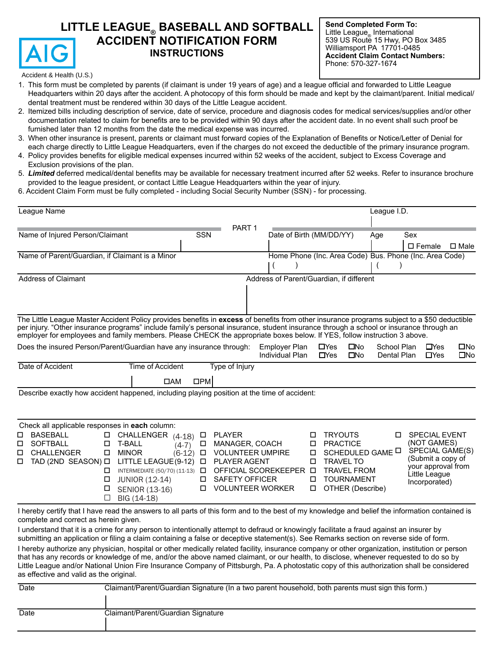# LITTLE LEAGUE<sub>®</sub> BASEBALL AND SOFTBALL **ACCIDENT NOTIFICATION FORM INSTRUCTIONS**

**Send Completed Form To:** Little League<sub>®</sub> International 539 US Route 15 Hwy, PO Box 3485 Williamsport PA 17701-0485 **Accident Claim Contact Numbers:** Phone: 570-327-1674 

Accident & Health (U.S.)

- 1. This form must be completed by parents (if claimant is under 19 years of age) and a league official and forwarded to Little League Headquarters within 20 days after the accident. A photocopy of this form should be made and kept by the claimant/parent. Initial medical/ dental treatment must be rendered within 30 days of the Little League accident.
- 2. Itemized bills including description of service, date of service, procedure and diagnosis codes for medical services/supplies and/or other documentation related to claim for benefits are to be provided within 90 days after the accident date. In no event shall such proof be furnished later than 12 months from the date the medical expense was incurred.
- 3. When other insurance is present, parents or claimant must forward copies of the Explanation of Benefits or Notice/Letter of Denial for each charge directly to Little League Headquarters, even if the charges do not exceed the deductible of the primary insurance program.
- 4. Policy provides benefits for eligible medical expenses incurred within 52 weeks of the accident, subject to Excess Coverage and Exclusion provisions of the plan.
- 5. Limited deferred medical/dental benefits may be available for necessary treatment incurred after 52 weeks. Refer to insurance brochure provided to the league president, or contact Little League Headquarters within the year of injury.
- 6. Accident Claim Form must be fully completed including Social Security Number (SSN) for processing.

| League Name                                                                                                                                                                                                                                                                                                                                                                                                                                                                                                                                                                                                                                                                                                                                                                                                                                                                                                                                                       |                                                                            |                                                                                                                                |                                         |                                                                                                                                                                               | League I.D.                       |                                                                                                                                     |                     |
|-------------------------------------------------------------------------------------------------------------------------------------------------------------------------------------------------------------------------------------------------------------------------------------------------------------------------------------------------------------------------------------------------------------------------------------------------------------------------------------------------------------------------------------------------------------------------------------------------------------------------------------------------------------------------------------------------------------------------------------------------------------------------------------------------------------------------------------------------------------------------------------------------------------------------------------------------------------------|----------------------------------------------------------------------------|--------------------------------------------------------------------------------------------------------------------------------|-----------------------------------------|-------------------------------------------------------------------------------------------------------------------------------------------------------------------------------|-----------------------------------|-------------------------------------------------------------------------------------------------------------------------------------|---------------------|
| Name of Injured Person/Claimant                                                                                                                                                                                                                                                                                                                                                                                                                                                                                                                                                                                                                                                                                                                                                                                                                                                                                                                                   | <b>SSN</b>                                                                 | PART <sub>1</sub>                                                                                                              | Date of Birth (MM/DD/YY)                |                                                                                                                                                                               | Age                               | Sex<br>$\square$ Female                                                                                                             | $\square$ Male      |
| Name of Parent/Guardian, if Claimant is a Minor                                                                                                                                                                                                                                                                                                                                                                                                                                                                                                                                                                                                                                                                                                                                                                                                                                                                                                                   |                                                                            |                                                                                                                                |                                         | Home Phone (Inc. Area Code) Bus. Phone (Inc. Area Code)                                                                                                                       |                                   |                                                                                                                                     |                     |
| <b>Address of Claimant</b>                                                                                                                                                                                                                                                                                                                                                                                                                                                                                                                                                                                                                                                                                                                                                                                                                                                                                                                                        |                                                                            |                                                                                                                                |                                         | Address of Parent/Guardian, if different                                                                                                                                      |                                   |                                                                                                                                     |                     |
| The Little League Master Accident Policy provides benefits in excess of benefits from other insurance programs subject to a \$50 deductible<br>per injury. "Other insurance programs" include family's personal insurance, student insurance through a school or insurance through an<br>employer for employees and family members. Please CHECK the appropriate boxes below. If YES, follow instruction 3 above.                                                                                                                                                                                                                                                                                                                                                                                                                                                                                                                                                 |                                                                            |                                                                                                                                |                                         |                                                                                                                                                                               |                                   |                                                                                                                                     |                     |
| Does the insured Person/Parent/Guardian have any insurance through:                                                                                                                                                                                                                                                                                                                                                                                                                                                                                                                                                                                                                                                                                                                                                                                                                                                                                               |                                                                            |                                                                                                                                | <b>Employer Plan</b><br>Individual Plan | <b>ONo</b><br>$\Box$ Yes<br>$\Box$ Yes<br>$\square$ No                                                                                                                        | School Plan<br><b>Dental Plan</b> | $D$ Yes<br>$\Box$ Yes                                                                                                               | □No<br>$\square$ No |
| Date of Accident<br>Time of Accident<br>$\Box$ AM                                                                                                                                                                                                                                                                                                                                                                                                                                                                                                                                                                                                                                                                                                                                                                                                                                                                                                                 | $\square PM$                                                               | Type of Injury                                                                                                                 |                                         |                                                                                                                                                                               |                                   |                                                                                                                                     |                     |
| Describe exactly how accident happened, including playing position at the time of accident:<br>Check all applicable responses in each column:<br><b>BASEBALL</b><br>CHALLENGER (4-18)<br>□<br>□<br><b>SOFTBALL</b><br>□<br>T-BALL<br>□<br><b>D</b> MINOR<br><b>CHALLENGER</b><br>□<br>TAD (2ND SEASON) O LITTLE LEAGUE (9-12)<br>□<br>INTERMEDIATE (50/70) (11-13)<br>0<br><b>JUNIOR (12-14)</b><br>□<br>□<br>SENIOR (13-16)<br>$\Box$<br>BIG (14-18)                                                                                                                                                                                                                                                                                                                                                                                                                                                                                                             | $\Box$<br>□<br>$(4-7)$<br>$\Box$<br>$(6-12)$<br>$\Box$<br>$\Box$<br>□<br>□ | <b>PLAYER</b><br>MANAGER, COACH<br><b>VOLUNTEER UMPIRE</b><br>PLAYER AGENT<br><b>SAFETY OFFICER</b><br><b>VOLUNTEER WORKER</b> | OFFICIAL SCOREKEEPER <b>D</b>           | <b>TRYOUTS</b><br>□<br><b>PRACTICE</b><br>□<br>SCHEDULED GAME <sup>II</sup><br>□<br><b>TRAVEL TO</b><br>п<br><b>TRAVEL FROM</b><br><b>TOURNAMENT</b><br>□<br>OTHER (Describe) | □                                 | <b>SPECIAL EVENT</b><br>(NOT GAMES)<br>SPECIAL GAME(S)<br>(Submit a copy of<br>your approval from<br>Little League<br>Incorporated) |                     |
| I hereby certify that I have read the answers to all parts of this form and to the best of my knowledge and belief the information contained is<br>complete and correct as herein given.<br>I understand that it is a crime for any person to intentionally attempt to defraud or knowingly facilitate a fraud against an insurer by<br>submitting an application or filing a claim containing a false or deceptive statement(s). See Remarks section on reverse side of form.<br>I hereby authorize any physician, hospital or other medically related facility, insurance company or other organization, institution or person<br>that has any records or knowledge of me, and/or the above named claimant, or our health, to disclose, whenever requested to do so by<br>Little League and/or National Union Fire Insurance Company of Pittsburgh, Pa. A photostatic copy of this authorization shall be considered<br>as effective and valid as the original. |                                                                            |                                                                                                                                |                                         |                                                                                                                                                                               |                                   |                                                                                                                                     |                     |
| Date<br>Claimant/Parent/Guardian Signature (In a two parent household, both parents must sign this form.)                                                                                                                                                                                                                                                                                                                                                                                                                                                                                                                                                                                                                                                                                                                                                                                                                                                         |                                                                            |                                                                                                                                |                                         |                                                                                                                                                                               |                                   |                                                                                                                                     |                     |

| Date | Claimant/Parent/Guardian Signature |
|------|------------------------------------|
|      |                                    |